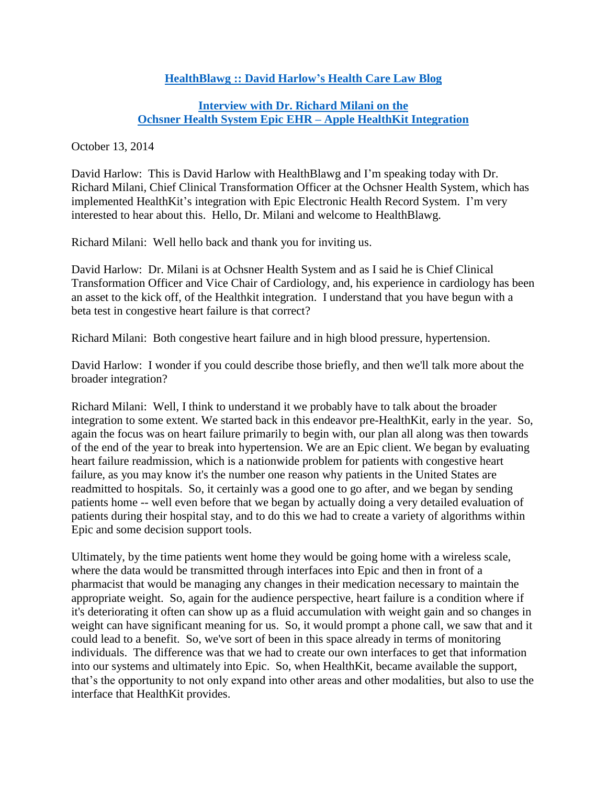## **HealthBlawg :: [David Harlow's Health Care Law Blog](http://healthblawg.com/)**

## **[Interview with Dr. Richard Milani on the](http://www.healthblawg.com/2014/10/apple-healthkit-epic-integration-at-ochsner-health-system-david-harlow-interviews-dr-richard-milani.html) [Ochsner Health System Epic EHR](http://www.healthblawg.com/2014/10/apple-healthkit-epic-integration-at-ochsner-health-system-david-harlow-interviews-dr-richard-milani.html) – Apple HealthKit Integration**

October 13, 2014

David Harlow: This is David Harlow with HealthBlawg and I'm speaking today with Dr. Richard Milani, Chief Clinical Transformation Officer at the Ochsner Health System, which has implemented HealthKit's integration with Epic Electronic Health Record System. I'm very interested to hear about this. Hello, Dr. Milani and welcome to HealthBlawg.

Richard Milani: Well hello back and thank you for inviting us.

David Harlow: Dr. Milani is at Ochsner Health System and as I said he is Chief Clinical Transformation Officer and Vice Chair of Cardiology, and, his experience in cardiology has been an asset to the kick off, of the Healthkit integration. I understand that you have begun with a beta test in congestive heart failure is that correct?

Richard Milani: Both congestive heart failure and in high blood pressure, hypertension.

David Harlow: I wonder if you could describe those briefly, and then we'll talk more about the broader integration?

Richard Milani: Well, I think to understand it we probably have to talk about the broader integration to some extent. We started back in this endeavor pre-HealthKit, early in the year. So, again the focus was on heart failure primarily to begin with, our plan all along was then towards of the end of the year to break into hypertension. We are an Epic client. We began by evaluating heart failure readmission, which is a nationwide problem for patients with congestive heart failure, as you may know it's the number one reason why patients in the United States are readmitted to hospitals. So, it certainly was a good one to go after, and we began by sending patients home -- well even before that we began by actually doing a very detailed evaluation of patients during their hospital stay, and to do this we had to create a variety of algorithms within Epic and some decision support tools.

Ultimately, by the time patients went home they would be going home with a wireless scale, where the data would be transmitted through interfaces into Epic and then in front of a pharmacist that would be managing any changes in their medication necessary to maintain the appropriate weight. So, again for the audience perspective, heart failure is a condition where if it's deteriorating it often can show up as a fluid accumulation with weight gain and so changes in weight can have significant meaning for us. So, it would prompt a phone call, we saw that and it could lead to a benefit. So, we've sort of been in this space already in terms of monitoring individuals. The difference was that we had to create our own interfaces to get that information into our systems and ultimately into Epic. So, when HealthKit, became available the support, that's the opportunity to not only expand into other areas and other modalities, but also to use the interface that HealthKit provides.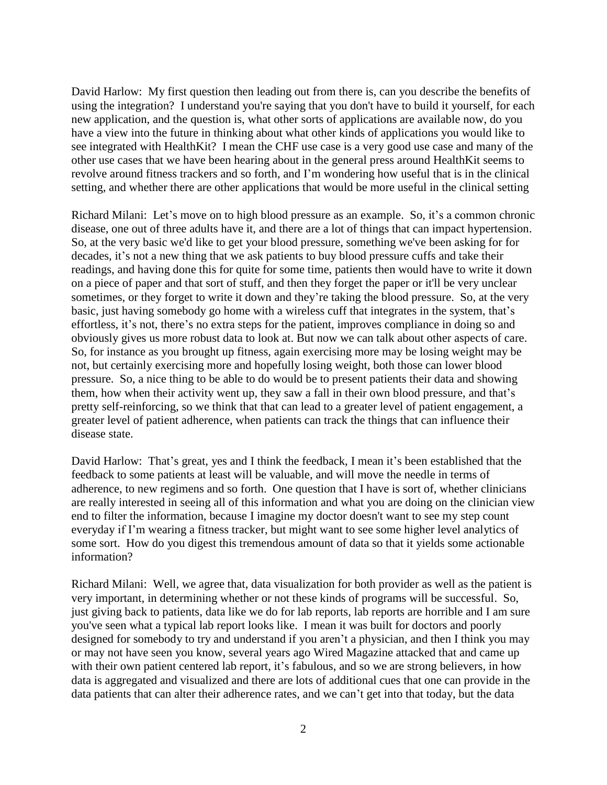David Harlow: My first question then leading out from there is, can you describe the benefits of using the integration? I understand you're saying that you don't have to build it yourself, for each new application, and the question is, what other sorts of applications are available now, do you have a view into the future in thinking about what other kinds of applications you would like to see integrated with HealthKit? I mean the CHF use case is a very good use case and many of the other use cases that we have been hearing about in the general press around HealthKit seems to revolve around fitness trackers and so forth, and I'm wondering how useful that is in the clinical setting, and whether there are other applications that would be more useful in the clinical setting

Richard Milani: Let's move on to high blood pressure as an example. So, it's a common chronic disease, one out of three adults have it, and there are a lot of things that can impact hypertension. So, at the very basic we'd like to get your blood pressure, something we've been asking for for decades, it's not a new thing that we ask patients to buy blood pressure cuffs and take their readings, and having done this for quite for some time, patients then would have to write it down on a piece of paper and that sort of stuff, and then they forget the paper or it'll be very unclear sometimes, or they forget to write it down and they're taking the blood pressure. So, at the very basic, just having somebody go home with a wireless cuff that integrates in the system, that's effortless, it's not, there's no extra steps for the patient, improves compliance in doing so and obviously gives us more robust data to look at. But now we can talk about other aspects of care. So, for instance as you brought up fitness, again exercising more may be losing weight may be not, but certainly exercising more and hopefully losing weight, both those can lower blood pressure. So, a nice thing to be able to do would be to present patients their data and showing them, how when their activity went up, they saw a fall in their own blood pressure, and that's pretty self-reinforcing, so we think that that can lead to a greater level of patient engagement, a greater level of patient adherence, when patients can track the things that can influence their disease state.

David Harlow: That's great, yes and I think the feedback, I mean it's been established that the feedback to some patients at least will be valuable, and will move the needle in terms of adherence, to new regimens and so forth. One question that I have is sort of, whether clinicians are really interested in seeing all of this information and what you are doing on the clinician view end to filter the information, because I imagine my doctor doesn't want to see my step count everyday if I'm wearing a fitness tracker, but might want to see some higher level analytics of some sort. How do you digest this tremendous amount of data so that it yields some actionable information?

Richard Milani: Well, we agree that, data visualization for both provider as well as the patient is very important, in determining whether or not these kinds of programs will be successful. So, just giving back to patients, data like we do for lab reports, lab reports are horrible and I am sure you've seen what a typical lab report looks like. I mean it was built for doctors and poorly designed for somebody to try and understand if you aren't a physician, and then I think you may or may not have seen you know, several years ago Wired Magazine attacked that and came up with their own patient centered lab report, it's fabulous, and so we are strong believers, in how data is aggregated and visualized and there are lots of additional cues that one can provide in the data patients that can alter their adherence rates, and we can't get into that today, but the data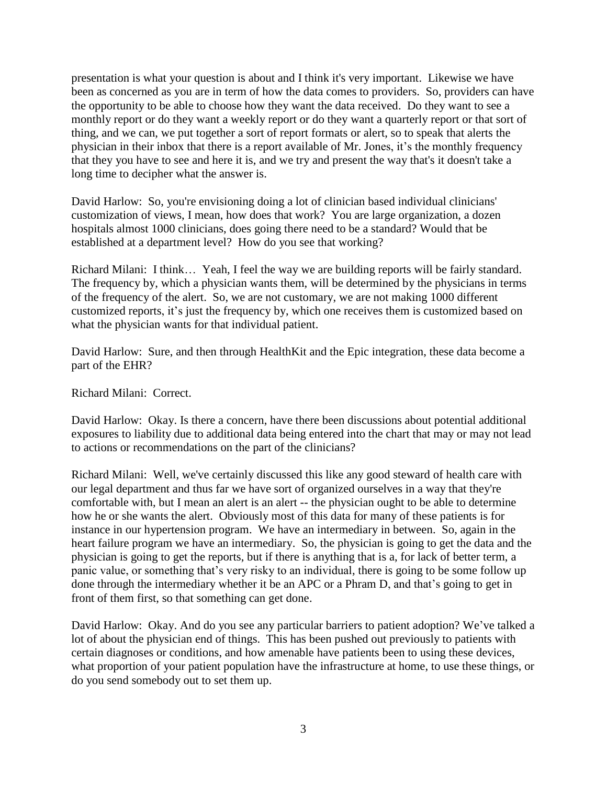presentation is what your question is about and I think it's very important. Likewise we have been as concerned as you are in term of how the data comes to providers. So, providers can have the opportunity to be able to choose how they want the data received. Do they want to see a monthly report or do they want a weekly report or do they want a quarterly report or that sort of thing, and we can, we put together a sort of report formats or alert, so to speak that alerts the physician in their inbox that there is a report available of Mr. Jones, it's the monthly frequency that they you have to see and here it is, and we try and present the way that's it doesn't take a long time to decipher what the answer is.

David Harlow: So, you're envisioning doing a lot of clinician based individual clinicians' customization of views, I mean, how does that work? You are large organization, a dozen hospitals almost 1000 clinicians, does going there need to be a standard? Would that be established at a department level? How do you see that working?

Richard Milani: I think… Yeah, I feel the way we are building reports will be fairly standard. The frequency by, which a physician wants them, will be determined by the physicians in terms of the frequency of the alert. So, we are not customary, we are not making 1000 different customized reports, it's just the frequency by, which one receives them is customized based on what the physician wants for that individual patient.

David Harlow: Sure, and then through HealthKit and the Epic integration, these data become a part of the EHR?

Richard Milani: Correct.

David Harlow: Okay. Is there a concern, have there been discussions about potential additional exposures to liability due to additional data being entered into the chart that may or may not lead to actions or recommendations on the part of the clinicians?

Richard Milani: Well, we've certainly discussed this like any good steward of health care with our legal department and thus far we have sort of organized ourselves in a way that they're comfortable with, but I mean an alert is an alert -- the physician ought to be able to determine how he or she wants the alert. Obviously most of this data for many of these patients is for instance in our hypertension program. We have an intermediary in between. So, again in the heart failure program we have an intermediary. So, the physician is going to get the data and the physician is going to get the reports, but if there is anything that is a, for lack of better term, a panic value, or something that's very risky to an individual, there is going to be some follow up done through the intermediary whether it be an APC or a Phram D, and that's going to get in front of them first, so that something can get done.

David Harlow: Okay. And do you see any particular barriers to patient adoption? We've talked a lot of about the physician end of things. This has been pushed out previously to patients with certain diagnoses or conditions, and how amenable have patients been to using these devices, what proportion of your patient population have the infrastructure at home, to use these things, or do you send somebody out to set them up.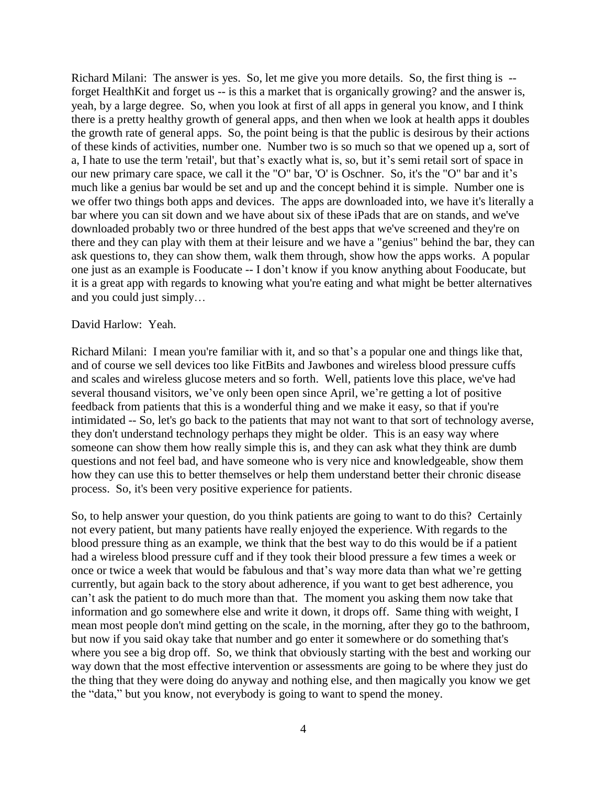Richard Milani: The answer is yes. So, let me give you more details. So, the first thing is - forget HealthKit and forget us -- is this a market that is organically growing? and the answer is, yeah, by a large degree. So, when you look at first of all apps in general you know, and I think there is a pretty healthy growth of general apps, and then when we look at health apps it doubles the growth rate of general apps. So, the point being is that the public is desirous by their actions of these kinds of activities, number one. Number two is so much so that we opened up a, sort of a, I hate to use the term 'retail', but that's exactly what is, so, but it's semi retail sort of space in our new primary care space, we call it the "O" bar, 'O' is Oschner. So, it's the "O" bar and it's much like a genius bar would be set and up and the concept behind it is simple. Number one is we offer two things both apps and devices. The apps are downloaded into, we have it's literally a bar where you can sit down and we have about six of these iPads that are on stands, and we've downloaded probably two or three hundred of the best apps that we've screened and they're on there and they can play with them at their leisure and we have a "genius" behind the bar, they can ask questions to, they can show them, walk them through, show how the apps works. A popular one just as an example is Fooducate -- I don't know if you know anything about Fooducate, but it is a great app with regards to knowing what you're eating and what might be better alternatives and you could just simply…

## David Harlow: Yeah.

Richard Milani: I mean you're familiar with it, and so that's a popular one and things like that, and of course we sell devices too like FitBits and Jawbones and wireless blood pressure cuffs and scales and wireless glucose meters and so forth. Well, patients love this place, we've had several thousand visitors, we've only been open since April, we're getting a lot of positive feedback from patients that this is a wonderful thing and we make it easy, so that if you're intimidated -- So, let's go back to the patients that may not want to that sort of technology averse, they don't understand technology perhaps they might be older. This is an easy way where someone can show them how really simple this is, and they can ask what they think are dumb questions and not feel bad, and have someone who is very nice and knowledgeable, show them how they can use this to better themselves or help them understand better their chronic disease process. So, it's been very positive experience for patients.

So, to help answer your question, do you think patients are going to want to do this? Certainly not every patient, but many patients have really enjoyed the experience. With regards to the blood pressure thing as an example, we think that the best way to do this would be if a patient had a wireless blood pressure cuff and if they took their blood pressure a few times a week or once or twice a week that would be fabulous and that's way more data than what we're getting currently, but again back to the story about adherence, if you want to get best adherence, you can't ask the patient to do much more than that. The moment you asking them now take that information and go somewhere else and write it down, it drops off. Same thing with weight, I mean most people don't mind getting on the scale, in the morning, after they go to the bathroom, but now if you said okay take that number and go enter it somewhere or do something that's where you see a big drop off. So, we think that obviously starting with the best and working our way down that the most effective intervention or assessments are going to be where they just do the thing that they were doing do anyway and nothing else, and then magically you know we get the "data," but you know, not everybody is going to want to spend the money.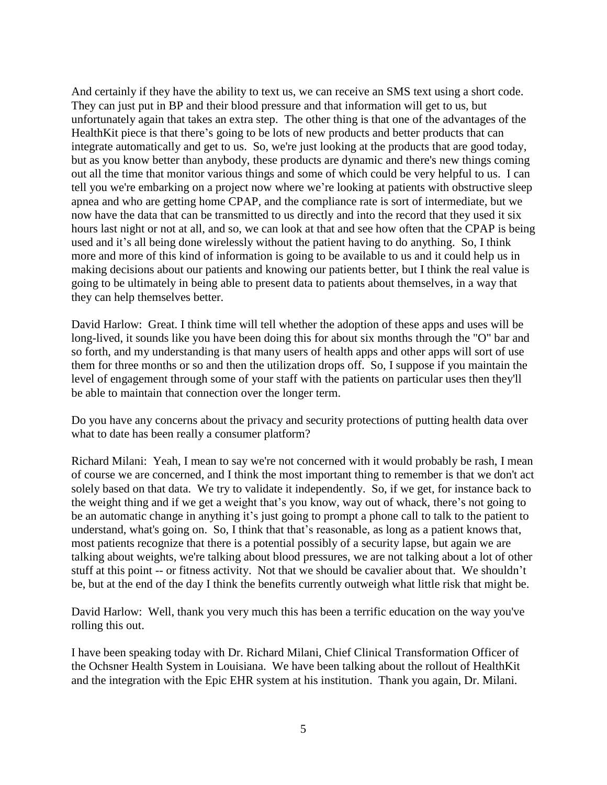And certainly if they have the ability to text us, we can receive an SMS text using a short code. They can just put in BP and their blood pressure and that information will get to us, but unfortunately again that takes an extra step. The other thing is that one of the advantages of the HealthKit piece is that there's going to be lots of new products and better products that can integrate automatically and get to us. So, we're just looking at the products that are good today, but as you know better than anybody, these products are dynamic and there's new things coming out all the time that monitor various things and some of which could be very helpful to us. I can tell you we're embarking on a project now where we're looking at patients with obstructive sleep apnea and who are getting home CPAP, and the compliance rate is sort of intermediate, but we now have the data that can be transmitted to us directly and into the record that they used it six hours last night or not at all, and so, we can look at that and see how often that the CPAP is being used and it's all being done wirelessly without the patient having to do anything. So, I think more and more of this kind of information is going to be available to us and it could help us in making decisions about our patients and knowing our patients better, but I think the real value is going to be ultimately in being able to present data to patients about themselves, in a way that they can help themselves better.

David Harlow: Great. I think time will tell whether the adoption of these apps and uses will be long-lived, it sounds like you have been doing this for about six months through the "O" bar and so forth, and my understanding is that many users of health apps and other apps will sort of use them for three months or so and then the utilization drops off. So, I suppose if you maintain the level of engagement through some of your staff with the patients on particular uses then they'll be able to maintain that connection over the longer term.

Do you have any concerns about the privacy and security protections of putting health data over what to date has been really a consumer platform?

Richard Milani: Yeah, I mean to say we're not concerned with it would probably be rash, I mean of course we are concerned, and I think the most important thing to remember is that we don't act solely based on that data. We try to validate it independently. So, if we get, for instance back to the weight thing and if we get a weight that's you know, way out of whack, there's not going to be an automatic change in anything it's just going to prompt a phone call to talk to the patient to understand, what's going on. So, I think that that's reasonable, as long as a patient knows that, most patients recognize that there is a potential possibly of a security lapse, but again we are talking about weights, we're talking about blood pressures, we are not talking about a lot of other stuff at this point -- or fitness activity. Not that we should be cavalier about that. We shouldn't be, but at the end of the day I think the benefits currently outweigh what little risk that might be.

David Harlow: Well, thank you very much this has been a terrific education on the way you've rolling this out.

I have been speaking today with Dr. Richard Milani, Chief Clinical Transformation Officer of the Ochsner Health System in Louisiana. We have been talking about the rollout of HealthKit and the integration with the Epic EHR system at his institution. Thank you again, Dr. Milani.